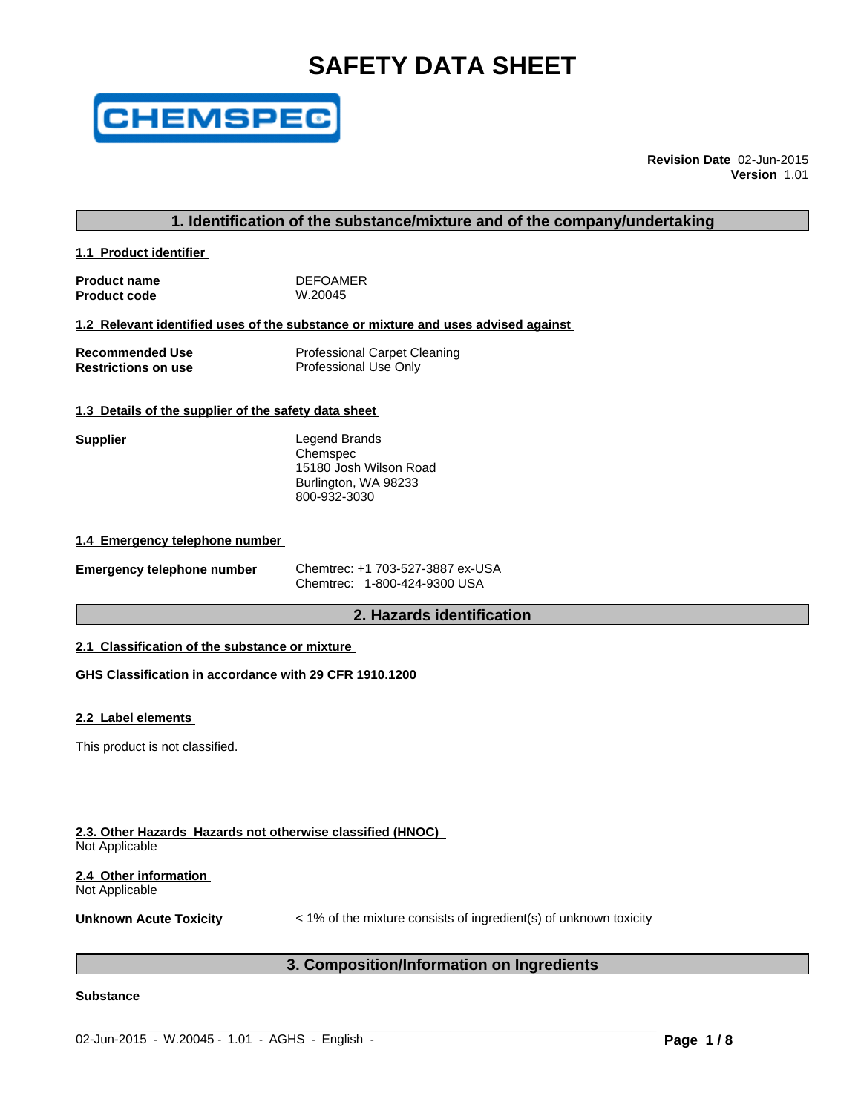# **SAFETY DATA SHEET**



**Revision Date** 02-Jun-2015 **Version** 1.01

# **1. Identification of the substance/mixture and of the company/undertaking**

**1.1 Product identifier** 

| <b>Product name</b> | <b>DEFOAMER</b> |
|---------------------|-----------------|
| <b>Product code</b> | W.20045         |

#### **1.2 Relevant identified uses of the substance or mixture and uses advised against**

| <b>Recommended Use</b>     | <b>Professional Carpet Cleaning</b> |
|----------------------------|-------------------------------------|
| <b>Restrictions on use</b> | Professional Use Only               |

#### **1.3 Details of the supplier of the safety data sheet**

| <b>Supplier</b> | Legend Brands          |
|-----------------|------------------------|
|                 | Chemspec               |
|                 | 15180 Josh Wilson Road |
|                 | Burlington, WA 98233   |
|                 | 800-932-3030           |

#### **1.4 Emergency telephone number**

| <b>Emergency telephone number</b> | Chemtrec: +1 703-527-3887 ex-USA |
|-----------------------------------|----------------------------------|
|                                   | Chemtrec: 1-800-424-9300 USA     |

# **2. Hazards identification**

# **2.1 Classification of the substance or mixture**

**GHS Classification in accordance with 29 CFR 1910.1200**

#### **2.2 Label elements**

This product is not classified.

#### **2.3. Other Hazards Hazards not otherwise classified (HNOC)**

Not Applicable

# **2.4 Other information**

Not Applicable

**Unknown Acute Toxicity** < 1% of the mixture consists of ingredient(s) of unknown toxicity

# **3. Composition/Information on Ingredients**

 $\_$  ,  $\_$  ,  $\_$  ,  $\_$  ,  $\_$  ,  $\_$  ,  $\_$  ,  $\_$  ,  $\_$  ,  $\_$  ,  $\_$  ,  $\_$  ,  $\_$  ,  $\_$  ,  $\_$  ,  $\_$  ,  $\_$  ,  $\_$  ,  $\_$  ,  $\_$  ,  $\_$  ,  $\_$  ,  $\_$  ,  $\_$  ,  $\_$  ,  $\_$  ,  $\_$  ,  $\_$  ,  $\_$  ,  $\_$  ,  $\_$  ,  $\_$  ,  $\_$  ,  $\_$  ,  $\_$  ,  $\_$  ,  $\_$  ,

# **Substance**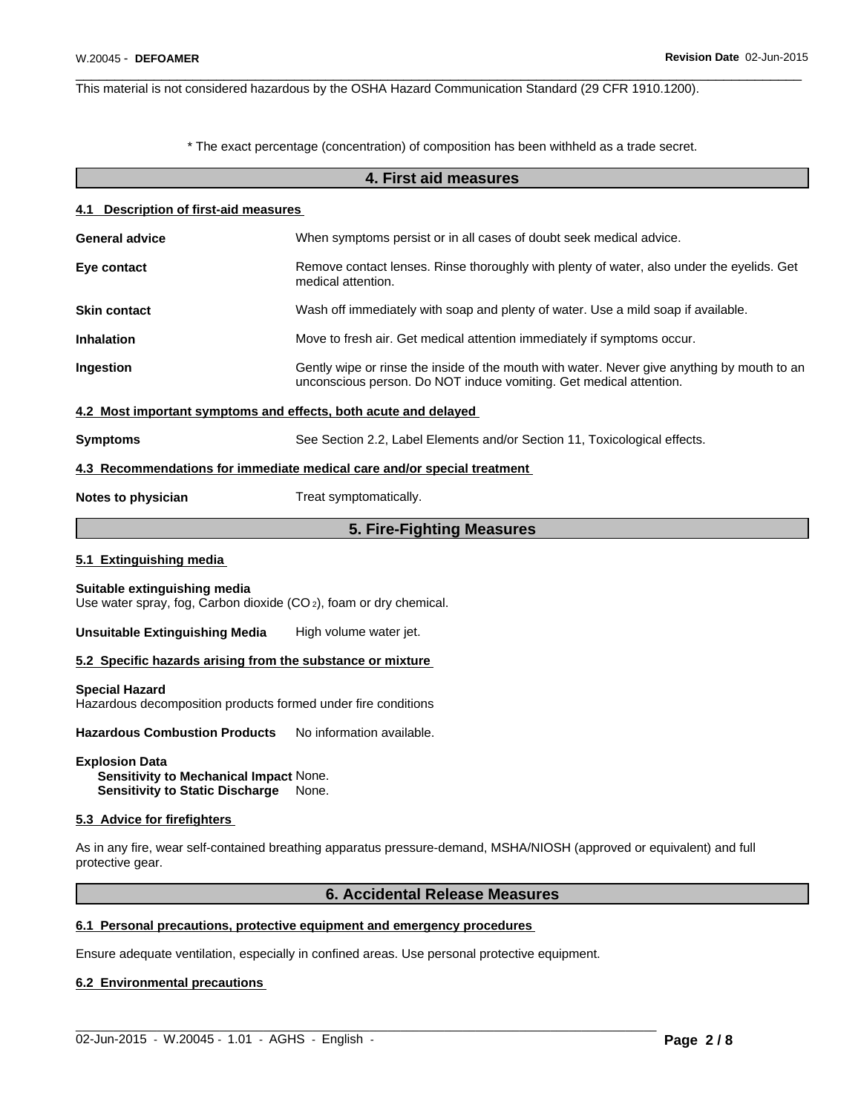This material is not considered hazardous by the OSHA Hazard Communication Standard (29 CFR 1910.1200).

\* The exact percentage (concentration) of composition has been withheld as a trade secret.

 $\overline{\phantom{a}}$  ,  $\overline{\phantom{a}}$  ,  $\overline{\phantom{a}}$  ,  $\overline{\phantom{a}}$  ,  $\overline{\phantom{a}}$  ,  $\overline{\phantom{a}}$  ,  $\overline{\phantom{a}}$  ,  $\overline{\phantom{a}}$  ,  $\overline{\phantom{a}}$  ,  $\overline{\phantom{a}}$  ,  $\overline{\phantom{a}}$  ,  $\overline{\phantom{a}}$  ,  $\overline{\phantom{a}}$  ,  $\overline{\phantom{a}}$  ,  $\overline{\phantom{a}}$  ,  $\overline{\phantom{a}}$ 

| 4.1 Description of first-aid measures                                                                                                                             |  |  |  |
|-------------------------------------------------------------------------------------------------------------------------------------------------------------------|--|--|--|
| When symptoms persist or in all cases of doubt seek medical advice.                                                                                               |  |  |  |
| Remove contact lenses. Rinse thoroughly with plenty of water, also under the eyelids. Get<br>medical attention.                                                   |  |  |  |
| Wash off immediately with soap and plenty of water. Use a mild soap if available.                                                                                 |  |  |  |
| Move to fresh air. Get medical attention immediately if symptoms occur.                                                                                           |  |  |  |
| Gently wipe or rinse the inside of the mouth with water. Never give anything by mouth to an<br>unconscious person. Do NOT induce vomiting. Get medical attention. |  |  |  |
| 4.2 Most important symptoms and effects, both acute and delayed                                                                                                   |  |  |  |
| See Section 2.2, Label Elements and/or Section 11, Toxicological effects.                                                                                         |  |  |  |
| 4.3 Recommendations for immediate medical care and/or special treatment                                                                                           |  |  |  |
| Treat symptomatically.                                                                                                                                            |  |  |  |
| 5. Fire-Fighting Measures                                                                                                                                         |  |  |  |
|                                                                                                                                                                   |  |  |  |

#### **5.1 Extinguishing media**

**Suitable extinguishing media** Use water spray, fog, Carbon dioxide (CO 2), foam or dry chemical.

**Unsuitable Extinguishing Media** High volume water jet.

**5.2 Specific hazards arising from the substance or mixture** 

**Special Hazard** Hazardous decomposition products formed under fire conditions

Hazardous Combustion Products No information available.

**Explosion Data**

**Sensitivity to Mechanical Impact** None. **Sensitivity to Static Discharge** None.

#### **5.3 Advice for firefighters**

As in any fire, wear self-contained breathing apparatus pressure-demand, MSHA/NIOSH (approved or equivalent) and full protective gear.

 $\_$  ,  $\_$  ,  $\_$  ,  $\_$  ,  $\_$  ,  $\_$  ,  $\_$  ,  $\_$  ,  $\_$  ,  $\_$  ,  $\_$  ,  $\_$  ,  $\_$  ,  $\_$  ,  $\_$  ,  $\_$  ,  $\_$  ,  $\_$  ,  $\_$  ,  $\_$  ,  $\_$  ,  $\_$  ,  $\_$  ,  $\_$  ,  $\_$  ,  $\_$  ,  $\_$  ,  $\_$  ,  $\_$  ,  $\_$  ,  $\_$  ,  $\_$  ,  $\_$  ,  $\_$  ,  $\_$  ,  $\_$  ,  $\_$  ,

#### **6. Accidental Release Measures**

#### **6.1 Personal precautions, protective equipment and emergency procedures**

Ensure adequate ventilation, especially in confined areas. Use personal protective equipment.

#### **6.2 Environmental precautions**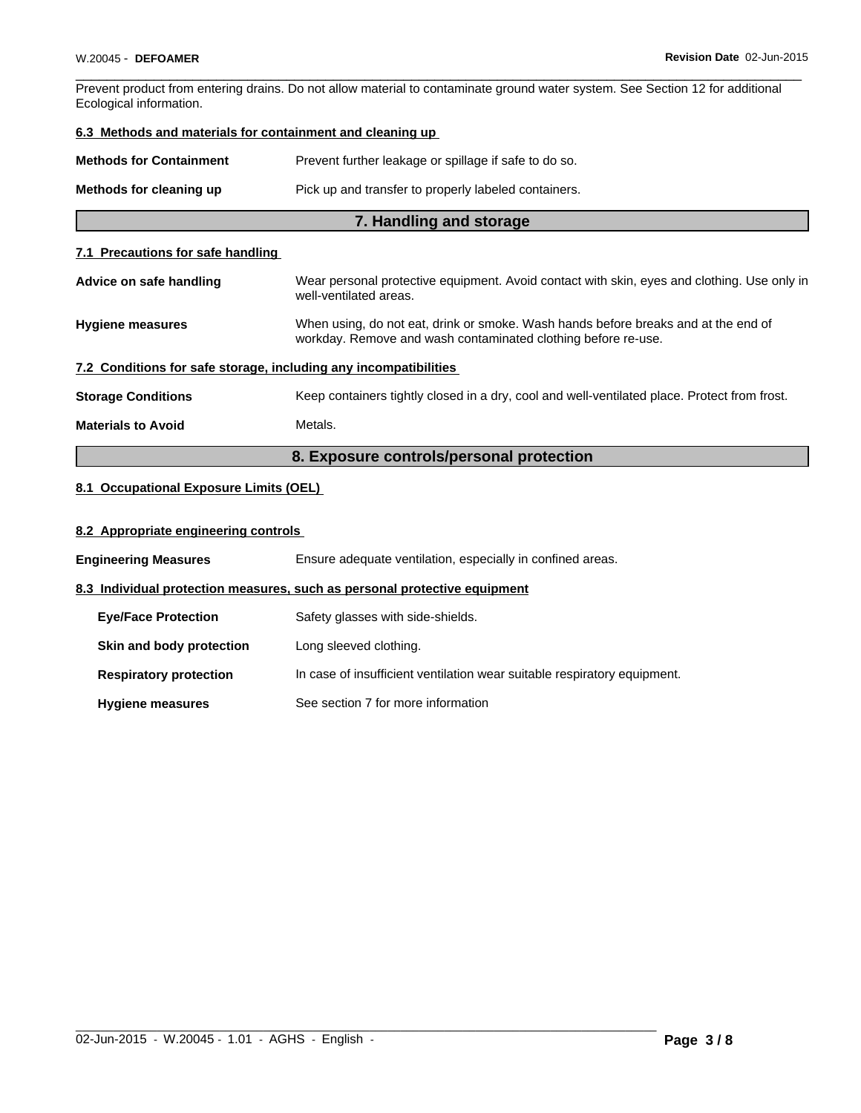Prevent product from entering drains. Do not allow material to contaminate ground water system. See Section 12 for additional Ecological information.

 $\overline{\phantom{a}}$  ,  $\overline{\phantom{a}}$  ,  $\overline{\phantom{a}}$  ,  $\overline{\phantom{a}}$  ,  $\overline{\phantom{a}}$  ,  $\overline{\phantom{a}}$  ,  $\overline{\phantom{a}}$  ,  $\overline{\phantom{a}}$  ,  $\overline{\phantom{a}}$  ,  $\overline{\phantom{a}}$  ,  $\overline{\phantom{a}}$  ,  $\overline{\phantom{a}}$  ,  $\overline{\phantom{a}}$  ,  $\overline{\phantom{a}}$  ,  $\overline{\phantom{a}}$  ,  $\overline{\phantom{a}}$ 

# **6.3 Methods and materials for containment and cleaning up**

| <b>Methods for Containment</b>    | Prevent further leakage or spillage if safe to do so.                                                                                               |
|-----------------------------------|-----------------------------------------------------------------------------------------------------------------------------------------------------|
| Methods for cleaning up           | Pick up and transfer to properly labeled containers.                                                                                                |
|                                   | 7. Handling and storage                                                                                                                             |
| 7.1 Precautions for safe handling |                                                                                                                                                     |
| Advice on safe handling           | Wear personal protective equipment. Avoid contact with skin, eyes and clothing. Use only in<br>well-ventilated areas.                               |
| <b>Hygiene measures</b>           | When using, do not eat, drink or smoke. Wash hands before breaks and at the end of<br>workday. Remove and wash contaminated clothing before re-use. |
|                                   | 7.2 Conditions for safe storage, including any incompatibilities                                                                                    |
| <b>Storage Conditions</b>         | Keep containers tightly closed in a dry, cool and well-ventilated place. Protect from frost.                                                        |

**Materials to Avoid** Metals.

# **8. Exposure controls/personal protection**

# **8.1 Occupational Exposure Limits (OEL)**

### **8.2 Appropriate engineering controls**

| <b>Engineering Measures</b>   | Ensure adequate ventilation, especially in confined areas.                |
|-------------------------------|---------------------------------------------------------------------------|
|                               | 8.3 Individual protection measures, such as personal protective equipment |
| <b>Eye/Face Protection</b>    | Safety glasses with side-shields.                                         |
| Skin and body protection      | Long sleeved clothing.                                                    |
| <b>Respiratory protection</b> | In case of insufficient ventilation wear suitable respiratory equipment.  |
| <b>Hygiene measures</b>       | See section 7 for more information                                        |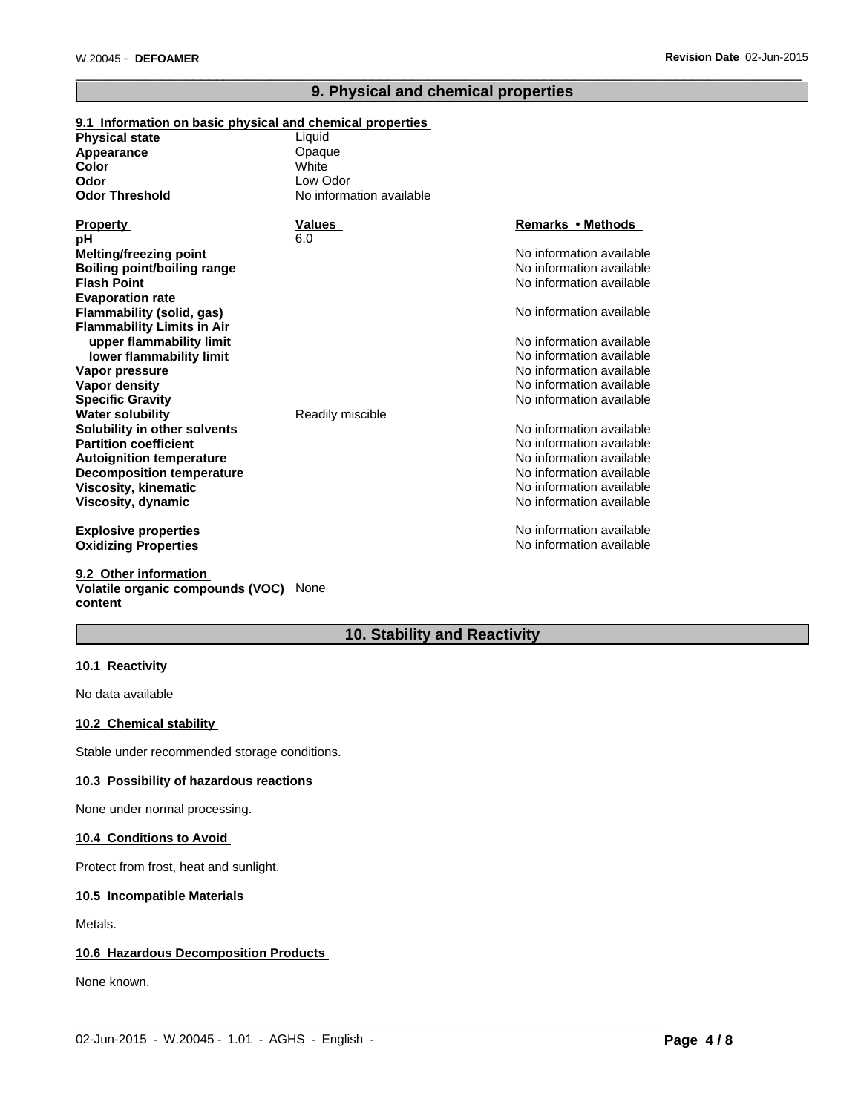# **9. Physical and chemical properties**

 $\overline{\phantom{a}}$  ,  $\overline{\phantom{a}}$  ,  $\overline{\phantom{a}}$  ,  $\overline{\phantom{a}}$  ,  $\overline{\phantom{a}}$  ,  $\overline{\phantom{a}}$  ,  $\overline{\phantom{a}}$  ,  $\overline{\phantom{a}}$  ,  $\overline{\phantom{a}}$  ,  $\overline{\phantom{a}}$  ,  $\overline{\phantom{a}}$  ,  $\overline{\phantom{a}}$  ,  $\overline{\phantom{a}}$  ,  $\overline{\phantom{a}}$  ,  $\overline{\phantom{a}}$  ,  $\overline{\phantom{a}}$ 

| 9.1 Information on basic physical and chemical properties |                          |                          |
|-----------------------------------------------------------|--------------------------|--------------------------|
| <b>Physical state</b>                                     | Liquid                   |                          |
| Appearance                                                | Opaque                   |                          |
| Color                                                     | White                    |                          |
| Odor                                                      | Low Odor                 |                          |
| <b>Odor Threshold</b>                                     | No information available |                          |
| <b>Property</b>                                           | Values                   | Remarks • Methods        |
| pH                                                        | 6.0                      |                          |
| <b>Melting/freezing point</b>                             |                          | No information available |
| <b>Boiling point/boiling range</b>                        |                          | No information available |
| <b>Flash Point</b>                                        |                          | No information available |
| <b>Evaporation rate</b>                                   |                          |                          |
| Flammability (solid, gas)                                 |                          | No information available |
| <b>Flammability Limits in Air</b>                         |                          |                          |
| upper flammability limit                                  |                          | No information available |
| lower flammability limit                                  |                          | No information available |
| Vapor pressure                                            |                          | No information available |
| Vapor density                                             |                          | No information available |
| <b>Specific Gravity</b>                                   |                          | No information available |
| <b>Water solubility</b>                                   | Readily miscible         |                          |
| Solubility in other solvents                              |                          | No information available |
| <b>Partition coefficient</b>                              |                          | No information available |
| <b>Autoignition temperature</b>                           |                          | No information available |
| <b>Decomposition temperature</b>                          |                          | No information available |
| <b>Viscosity, kinematic</b>                               |                          | No information available |
| Viscosity, dynamic                                        |                          | No information available |
| <b>Explosive properties</b>                               |                          | No information available |
| <b>Oxidizing Properties</b>                               |                          | No information available |

#### **9.2 Other information Volatile organic compounds (VOC)** None **content**

# **10. Stability and Reactivity**

 $\_$  ,  $\_$  ,  $\_$  ,  $\_$  ,  $\_$  ,  $\_$  ,  $\_$  ,  $\_$  ,  $\_$  ,  $\_$  ,  $\_$  ,  $\_$  ,  $\_$  ,  $\_$  ,  $\_$  ,  $\_$  ,  $\_$  ,  $\_$  ,  $\_$  ,  $\_$  ,  $\_$  ,  $\_$  ,  $\_$  ,  $\_$  ,  $\_$  ,  $\_$  ,  $\_$  ,  $\_$  ,  $\_$  ,  $\_$  ,  $\_$  ,  $\_$  ,  $\_$  ,  $\_$  ,  $\_$  ,  $\_$  ,  $\_$  ,

# **10.1 Reactivity**

No data available

#### **10.2 Chemical stability**

Stable under recommended storage conditions.

### **10.3 Possibility of hazardous reactions**

None under normal processing.

#### **10.4 Conditions to Avoid**

Protect from frost, heat and sunlight.

### **10.5 Incompatible Materials**

Metals.

#### **10.6 Hazardous Decomposition Products**

None known.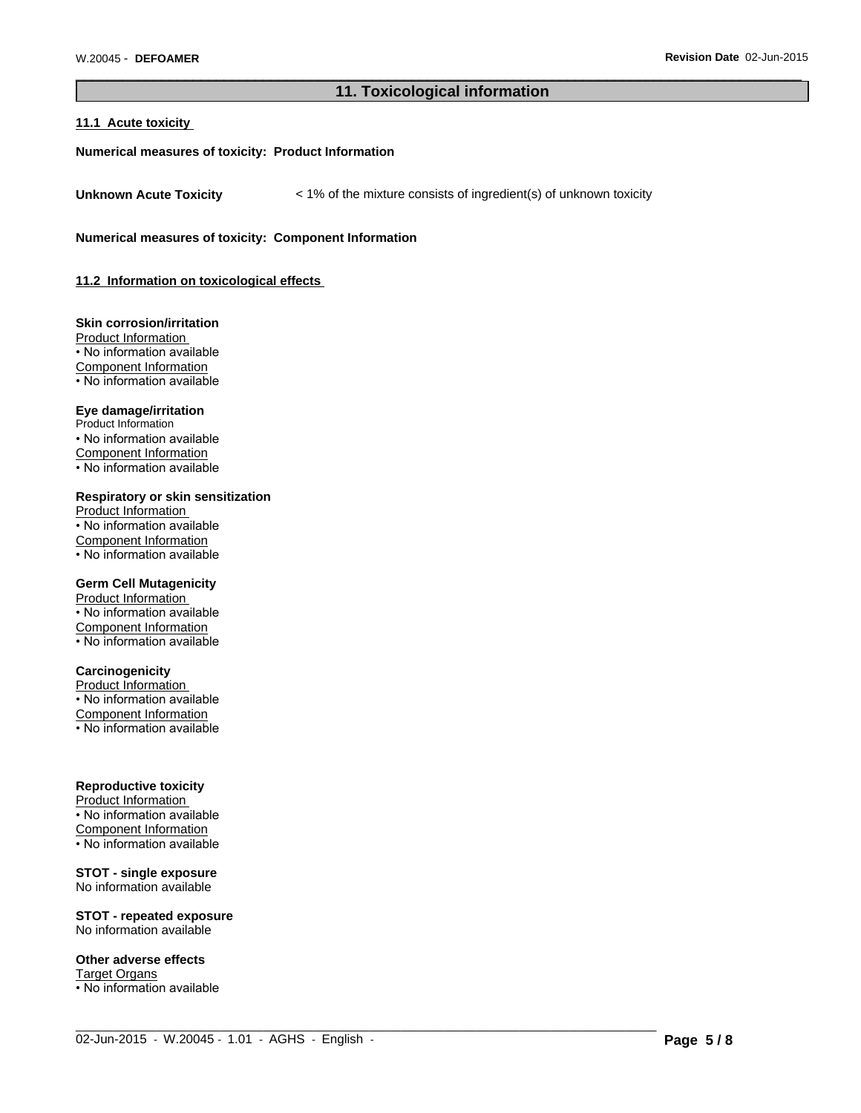# **11. Toxicological information**

 $\overline{\phantom{a}}$  ,  $\overline{\phantom{a}}$  ,  $\overline{\phantom{a}}$  ,  $\overline{\phantom{a}}$  ,  $\overline{\phantom{a}}$  ,  $\overline{\phantom{a}}$  ,  $\overline{\phantom{a}}$  ,  $\overline{\phantom{a}}$  ,  $\overline{\phantom{a}}$  ,  $\overline{\phantom{a}}$  ,  $\overline{\phantom{a}}$  ,  $\overline{\phantom{a}}$  ,  $\overline{\phantom{a}}$  ,  $\overline{\phantom{a}}$  ,  $\overline{\phantom{a}}$  ,  $\overline{\phantom{a}}$ 

#### **11.1 Acute toxicity**

#### **Numerical measures of toxicity: Product Information**

**Unknown Acute Toxicity**  $\lt$  1% of the mixture consists of ingredient(s) of unknown toxicity

**Numerical measures of toxicity: Component Information**

#### **11.2 Information on toxicological effects**

# **Skin corrosion/irritation**

Product Information • No information available Component Information • No information available

#### **Eye damage/irritation**

Product Information • No information available Component Information • No information available

#### **Respiratory or skin sensitization**

Product Information • No information available Component Information • No information available

#### **Germ Cell Mutagenicity**

Product Information • No information available Component Information • No information available

# **Carcinogenicity**

Product Information • No information available Component Information • No information available

#### **Reproductive toxicity**

Product Information • No information available Component Information • No information available

# **STOT - single exposure**

No information available

#### **STOT - repeated exposure** No information available

# **Other adverse effects**

Target Organs

• No information available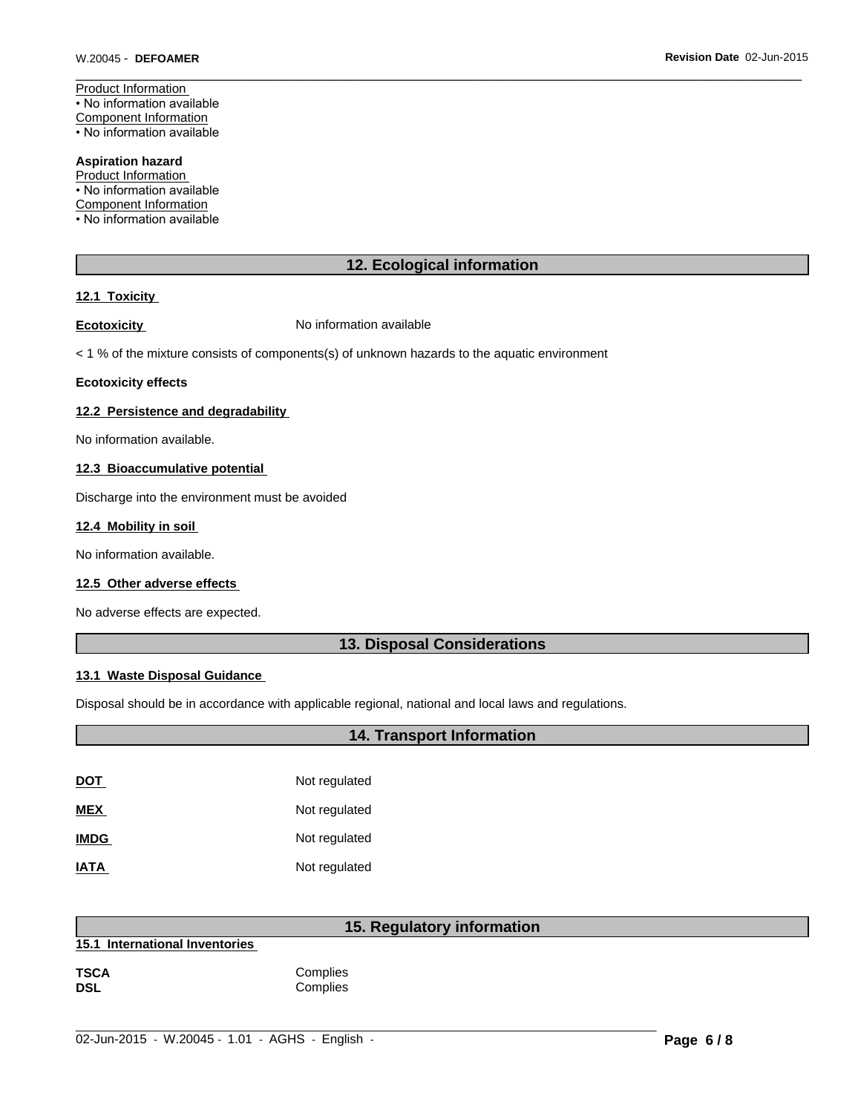Product Information • No information available Component Information • No information available

# **Aspiration hazard**

Product Information • No information available

Component Information

• No information available

# **12. Ecological information**

 $\overline{\phantom{a}}$  ,  $\overline{\phantom{a}}$  ,  $\overline{\phantom{a}}$  ,  $\overline{\phantom{a}}$  ,  $\overline{\phantom{a}}$  ,  $\overline{\phantom{a}}$  ,  $\overline{\phantom{a}}$  ,  $\overline{\phantom{a}}$  ,  $\overline{\phantom{a}}$  ,  $\overline{\phantom{a}}$  ,  $\overline{\phantom{a}}$  ,  $\overline{\phantom{a}}$  ,  $\overline{\phantom{a}}$  ,  $\overline{\phantom{a}}$  ,  $\overline{\phantom{a}}$  ,  $\overline{\phantom{a}}$ 

#### **12.1 Toxicity**

**Ecotoxicity No information available** 

< 1 % of the mixture consists of components(s) of unknown hazards to the aquatic environment

#### **Ecotoxicity effects**

#### **12.2 Persistence and degradability**

No information available.

# **12.3 Bioaccumulative potential**

Discharge into the environment must be avoided

#### **12.4 Mobility in soil**

No information available.

#### **12.5 Other adverse effects**

No adverse effects are expected.

# **13. Disposal Considerations**

#### **13.1 Waste Disposal Guidance**

Disposal should be in accordance with applicable regional, national and local laws and regulations.

|             | <b>14. Transport Information</b> |  |
|-------------|----------------------------------|--|
|             |                                  |  |
| <u>DOT</u>  | Not regulated                    |  |
| <b>MEX</b>  | Not regulated                    |  |
| <b>IMDG</b> | Not regulated                    |  |
| <u>IATA</u> | Not regulated                    |  |
|             |                                  |  |

|                                | 15. Regulatory information |
|--------------------------------|----------------------------|
| 15.1 International Inventories |                            |
| <b>TSCA</b><br><b>DSL</b>      | Complies<br>Complies       |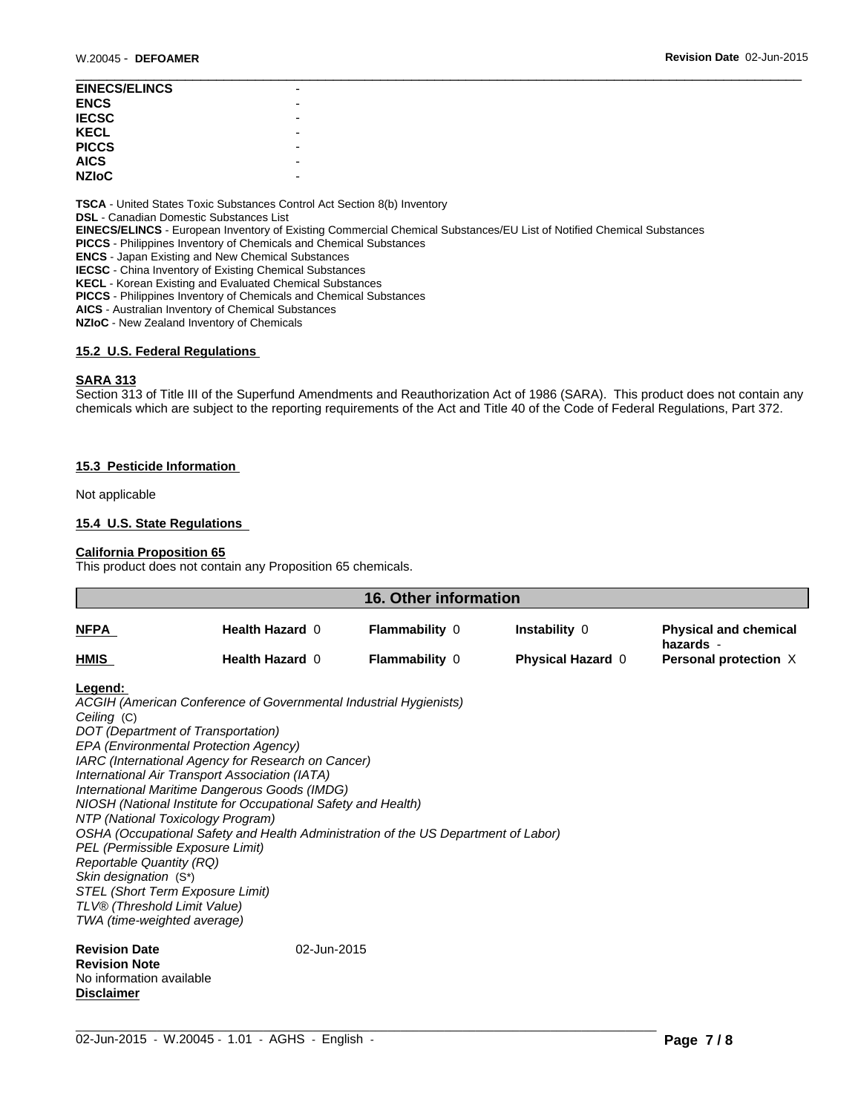| <b>EINECS/ELINCS</b> |   |
|----------------------|---|
| <b>ENCS</b>          | - |
| <b>IECSC</b>         |   |
| <b>KECL</b>          |   |
| <b>PICCS</b>         | - |
| <b>AICS</b>          |   |
| <b>NZIoC</b>         |   |
|                      |   |

**TSCA** - United States Toxic Substances Control Act Section 8(b) Inventory **DSL** - Canadian Domestic Substances List **EINECS/ELINCS** - European Inventory of Existing Commercial Chemical Substances/EU List of Notified Chemical Substances **PICCS** - Philippines Inventory of Chemicals and Chemical Substances **ENCS** - Japan Existing and New Chemical Substances **IECSC** - China Inventory of Existing Chemical Substances **KECL** - Korean Existing and Evaluated Chemical Substances **PICCS** - Philippines Inventory of Chemicals and Chemical Substances **AICS** - Australian Inventory of Chemical Substances **NZIoC** - New Zealand Inventory of Chemicals

#### **15.2 U.S. Federal Regulations**

#### **SARA 313**

Section 313 of Title III of the Superfund Amendments and Reauthorization Act of 1986 (SARA). This product does not contain any chemicals which are subject to the reporting requirements of the Act and Title 40 of the Code of Federal Regulations, Part 372.

 $\overline{\phantom{a}}$  ,  $\overline{\phantom{a}}$  ,  $\overline{\phantom{a}}$  ,  $\overline{\phantom{a}}$  ,  $\overline{\phantom{a}}$  ,  $\overline{\phantom{a}}$  ,  $\overline{\phantom{a}}$  ,  $\overline{\phantom{a}}$  ,  $\overline{\phantom{a}}$  ,  $\overline{\phantom{a}}$  ,  $\overline{\phantom{a}}$  ,  $\overline{\phantom{a}}$  ,  $\overline{\phantom{a}}$  ,  $\overline{\phantom{a}}$  ,  $\overline{\phantom{a}}$  ,  $\overline{\phantom{a}}$ 

#### **15.3 Pesticide Information**

Not applicable

**Disclaimer**

#### **15.4 U.S. State Regulations**

#### **California Proposition 65**

This product does not contain any Proposition 65 chemicals.

| <b>16. Other information</b>                                                                                                                      |                                                                                                                                                                                                                                                                                                                                                                                                                                                                                                                                                                                      |                       |                          |                                           |
|---------------------------------------------------------------------------------------------------------------------------------------------------|--------------------------------------------------------------------------------------------------------------------------------------------------------------------------------------------------------------------------------------------------------------------------------------------------------------------------------------------------------------------------------------------------------------------------------------------------------------------------------------------------------------------------------------------------------------------------------------|-----------------------|--------------------------|-------------------------------------------|
| NFPA                                                                                                                                              | <b>Health Hazard 0</b>                                                                                                                                                                                                                                                                                                                                                                                                                                                                                                                                                               | <b>Flammability 0</b> | <b>Instability 0</b>     | <b>Physical and chemical</b><br>hazards - |
| HMIS                                                                                                                                              | Health Hazard 0                                                                                                                                                                                                                                                                                                                                                                                                                                                                                                                                                                      | <b>Flammability 0</b> | <b>Physical Hazard 0</b> | Personal protection X                     |
| Legend:<br>Ceiling (C)<br><b>Reportable Quantity (RQ)</b><br>Skin designation (S*)<br>TLV® (Threshold Limit Value)<br>TWA (time-weighted average) | ACGIH (American Conference of Governmental Industrial Hygienists)<br>DOT (Department of Transportation)<br>EPA (Environmental Protection Agency)<br>IARC (International Agency for Research on Cancer)<br>International Air Transport Association (IATA)<br>International Maritime Dangerous Goods (IMDG)<br>NIOSH (National Institute for Occupational Safety and Health)<br>NTP (National Toxicology Program)<br>OSHA (Occupational Safety and Health Administration of the US Department of Labor)<br>PEL (Permissible Exposure Limit)<br><b>STEL (Short Term Exposure Limit)</b> |                       |                          |                                           |
| <b>Revision Date</b><br><b>Revision Note</b><br>No information available                                                                          | 02-Jun-2015                                                                                                                                                                                                                                                                                                                                                                                                                                                                                                                                                                          |                       |                          |                                           |